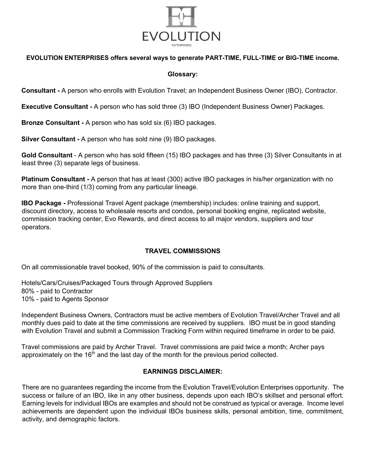

#### **EVOLUTION ENTERPRISES offers several ways to generate PART-TIME, FULL-TIME or BIG-TIME income.**

#### **Glossary:**

**Consultant -** A person who enrolls with Evolution Travel; an Independent Business Owner (IBO), Contractor.

**Executive Consultant -** A person who has sold three (3) IBO (Independent Business Owner) Packages.

**Bronze Consultant -** A person who has sold six (6) IBO packages.

**Silver Consultant -** A person who has sold nine (9) IBO packages.

**Gold Consultant** - A person who has sold fifteen (15) IBO packages and has three (3) Silver Consultants in at least three (3) separate legs of business.

**Platinum Consultant -** A person that has at least (300) active IBO packages in his/her organization with no more than one-third (1/3) coming from any particular lineage.

**IBO Package -** Professional Travel Agent package (membership) includes: online training and support, discount directory, access to wholesale resorts and condos, personal booking engine, replicated website, commission tracking center, Evo Rewards, and direct access to all major vendors, suppliers and tour operators.

### **TRAVEL COMMISSIONS**

On all commissionable travel booked, 90% of the commission is paid to consultants.

Hotels/Cars/Cruises/Packaged Tours through Approved Suppliers 80% - paid to Contractor 10% - paid to Agents Sponsor

Independent Business Owners, Contractors must be active members of Evolution Travel/Archer Travel and all monthly dues paid to date at the time commissions are received by suppliers. IBO must be in good standing with Evolution Travel and submit a Commission Tracking Form within required timeframe in order to be paid.

Travel commissions are paid by Archer Travel. Travel commissions are paid twice a month; Archer pays approximately on the  $16<sup>th</sup>$  and the last day of the month for the previous period collected.

### **EARNINGS DISCLAIMER:**

There are no guarantees regarding the income from the Evolution Travel/Evolution Enterprises opportunity. The success or failure of an IBO, like in any other business, depends upon each IBO's skillset and personal effort. Earning levels for individual IBOs are examples and should not be construed as typical or average. Income level achievements are dependent upon the individual IBOs business skills, personal ambition, time, commitment, activity, and demographic factors.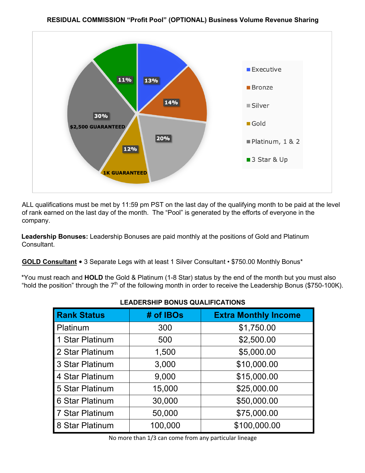

ALL qualifications must be met by 11:59 pm PST on the last day of the qualifying month to be paid at the level of rank earned on the last day of the month. The "Pool" is generated by the efforts of everyone in the company.

**Leadership Bonuses:** Leadership Bonuses are paid monthly at the positions of Gold and Platinum Consultant.

**GOLD Consultant** • 3 Separate Legs with at least 1 Silver Consultant • \$750.00 Monthly Bonus\*

\*You must reach and **HOLD** the Gold & Platinum (1-8 Star) status by the end of the month but you must also "hold the position" through the 7<sup>th</sup> of the following month in order to receive the Leadership Bonus (\$750-100K).

| LLADLINGIIII DONOO QOALII IOAIIONO |           |                             |
|------------------------------------|-----------|-----------------------------|
| <b>Rank Status</b>                 | # of IBOs | <b>Extra Monthly Income</b> |
| Platinum                           | 300       | \$1,750.00                  |
| 1 Star Platinum                    | 500       | \$2,500.00                  |
| 2 Star Platinum                    | 1,500     | \$5,000.00                  |
| 3 Star Platinum                    | 3,000     | \$10,000.00                 |
| 4 Star Platinum                    | 9,000     | \$15,000.00                 |
| 5 Star Platinum                    | 15,000    | \$25,000.00                 |
| 6 Star Platinum                    | 30,000    | \$50,000.00                 |
| 7 Star Platinum                    | 50,000    | \$75,000.00                 |
| 8 Star Platinum                    | 100,000   | \$100,000.00                |

# **LEADERSHIP BONUS QUALIFICATIONS**

No more than 1/3 can come from any particular lineage